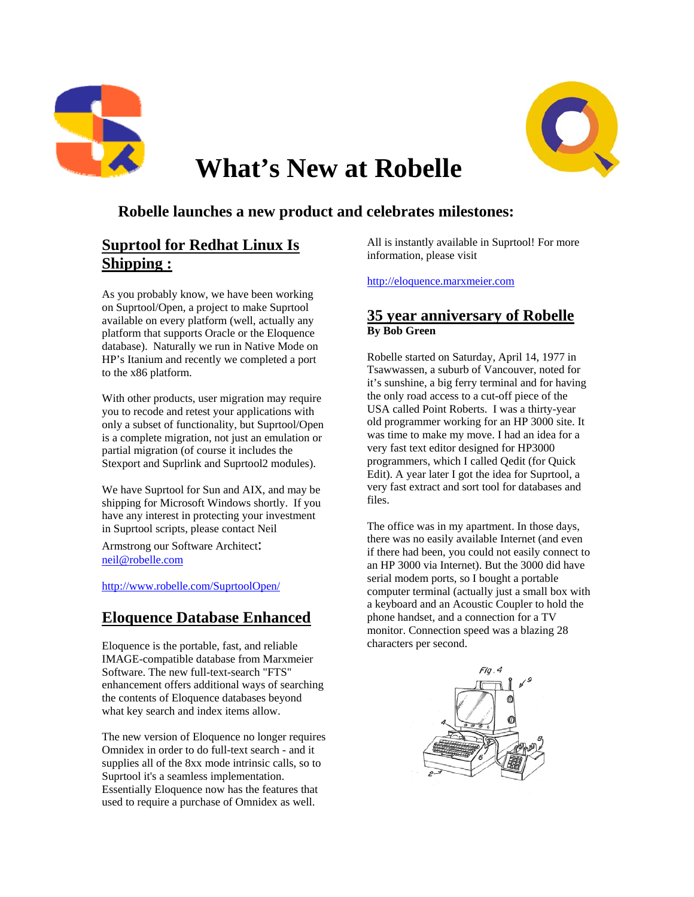



# **What's New at Robelle**

### **Robelle launches a new product and celebrates milestones:**

## **Suprtool for Redhat Linux Is Shipping :**

As you probably know, we have been working on Suprtool/Open, a project to make Suprtool available on every platform (well, actually any platform that supports Oracle or the Eloquence database). Naturally we run in Native Mode on HP's Itanium and recently we completed a port to the x86 platform.

With other products, user migration may require you to recode and retest your applications with only a subset of functionality, but Suprtool/Open is a complete migration, not just an emulation or partial migration (of course it includes the Stexport and Suprlink and Suprtool2 modules).

We have Suprtool for Sun and AIX, and may be shipping for Microsoft Windows shortly. If you have any interest in protecting your investment in Suprtool scripts, please contact Neil

Armstrong our Software Architect: [neil@robelle.com](mailto:neil@robelle.com)

<http://www.robelle.com/SuprtoolOpen/>

#### **Eloquence Database Enhanced**

Eloquence is the portable, fast, and reliable IMAGE-compatible database from Marxmeier Software. The new full-text-search "FTS" enhancement offers additional ways of searching the contents of Eloquence databases beyond what key search and index items allow.

The new version of Eloquence no longer requires Omnidex in order to do full-text search - and it supplies all of the 8xx mode intrinsic calls, so to Suprtool it's a seamless implementation. Essentially Eloquence now has the features that used to require a purchase of Omnidex as well.

All is instantly available in Suprtool! For more information, please visit

[http://eloquence.marxmeier.com](http://eloquence.marxmeier.com/)

#### **35 year anniversary of Robelle By Bob Green**

Robelle started on Saturday, April 14, 1977 in Tsawwassen, a suburb of Vancouver, noted for it's sunshine, a big ferry terminal and for having the only road access to a cut-off piece of the USA called Point Roberts. I was a thirty-year old programmer working for an HP 3000 site. It was time to make my move. I had an idea for a very fast text editor designed for HP3000 programmers, which I called Qedit (for Quick Edit). A year later I got the idea for Suprtool, a very fast extract and sort tool for databases and files.

The office was in my apartment. In those days, there was no easily available Internet (and even if there had been, you could not easily connect to an HP 3000 via Internet). But the 3000 did have serial modem ports, so I bought a portable computer terminal (actually just a small box with a keyboard and an Acoustic Coupler to hold the phone handset, and a connection for a TV monitor. Connection speed was a blazing 28 characters per second.